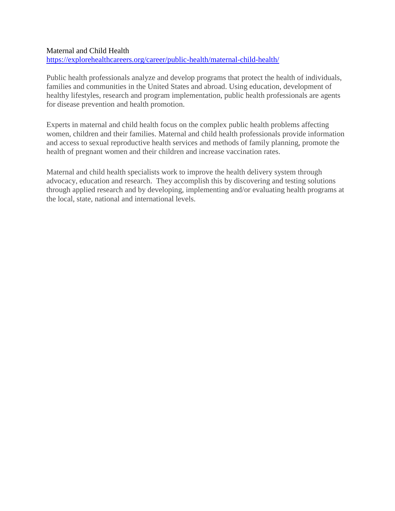## Maternal and Child Health

<https://explorehealthcareers.org/career/public-health/maternal-child-health/>

Public health professionals analyze and develop programs that protect the health of individuals, families and communities in the United States and abroad. Using education, development of healthy lifestyles, research and program implementation, public health professionals are agents for disease prevention and health promotion.

Experts in maternal and child health focus on the complex public health problems affecting women, children and their families. Maternal and child health professionals provide information and access to sexual reproductive health services and methods of family planning, promote the health of pregnant women and their children and increase vaccination rates.

Maternal and child health specialists work to improve the health delivery system through advocacy, education and research. They accomplish this by discovering and testing solutions through applied research and by developing, implementing and/or evaluating health programs at the local, state, national and international levels.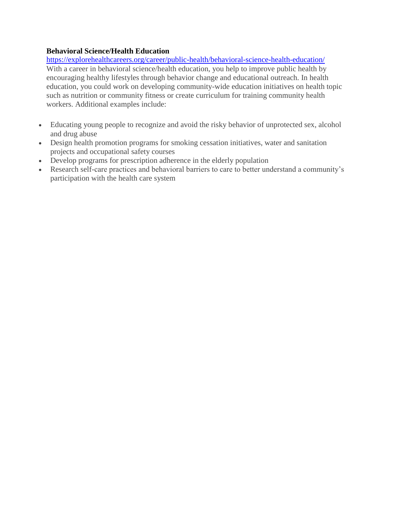# **Behavioral Science/Health Education**

<https://explorehealthcareers.org/career/public-health/behavioral-science-health-education/> With a career in behavioral science/health education, you help to improve public health by encouraging healthy lifestyles through behavior change and educational outreach. In health education, you could work on developing community-wide education initiatives on health topic such as nutrition or community fitness or create curriculum for training community health workers. Additional examples include:

- Educating young people to recognize and avoid the risky behavior of unprotected sex, alcohol and drug abuse
- Design health promotion programs for smoking cessation initiatives, water and sanitation projects and occupational safety courses
- Develop programs for prescription adherence in the elderly population
- Research self-care practices and behavioral barriers to care to better understand a community's participation with the health care system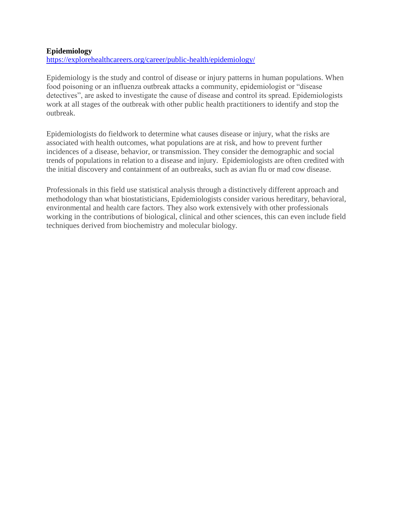#### **Epidemiology**

<https://explorehealthcareers.org/career/public-health/epidemiology/>

Epidemiology is the study and control of disease or injury patterns in human populations. When food poisoning or an influenza outbreak attacks a community, epidemiologist or "disease detectives", are asked to investigate the cause of disease and control its spread. Epidemiologists work at all stages of the outbreak with other public health practitioners to identify and stop the outbreak.

Epidemiologists do fieldwork to determine what causes disease or injury, what the risks are associated with health outcomes, what populations are at risk, and how to prevent further incidences of a disease, behavior, or transmission. They consider the demographic and social trends of populations in relation to a disease and injury. Epidemiologists are often credited with the initial discovery and containment of an outbreaks, such as avian flu or mad cow disease.

Professionals in this field use statistical analysis through a distinctively different approach and methodology than what biostatisticians, Epidemiologists consider various hereditary, behavioral, environmental and health care factors. They also work extensively with other professionals working in the contributions of biological, clinical and other sciences, this can even include field techniques derived from biochemistry and molecular biology.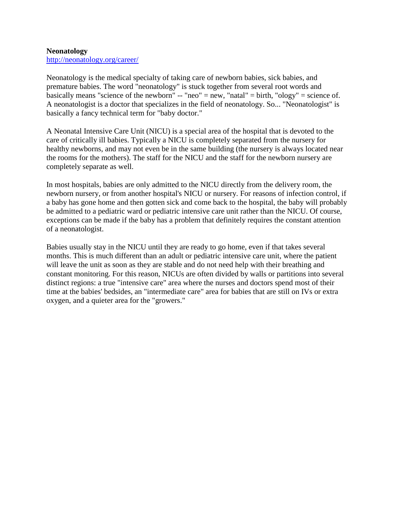#### **Neonatology**

<http://neonatology.org/career/>

Neonatology is the medical specialty of taking care of newborn babies, sick babies, and premature babies. The word "neonatology" is stuck together from several root words and basically means "science of the newborn" -- "neo" = new, "natal" = birth, "ology" = science of. A neonatologist is a doctor that specializes in the field of neonatology. So... "Neonatologist" is basically a fancy technical term for "baby doctor."

A Neonatal Intensive Care Unit (NICU) is a special area of the hospital that is devoted to the care of critically ill babies. Typically a NICU is completely separated from the nursery for healthy newborns, and may not even be in the same building (the nursery is always located near the rooms for the mothers). The staff for the NICU and the staff for the newborn nursery are completely separate as well.

In most hospitals, babies are only admitted to the NICU directly from the delivery room, the newborn nursery, or from another hospital's NICU or nursery. For reasons of infection control, if a baby has gone home and then gotten sick and come back to the hospital, the baby will probably be admitted to a pediatric ward or pediatric intensive care unit rather than the NICU. Of course, exceptions can be made if the baby has a problem that definitely requires the constant attention of a neonatologist.

Babies usually stay in the NICU until they are ready to go home, even if that takes several months. This is much different than an adult or pediatric intensive care unit, where the patient will leave the unit as soon as they are stable and do not need help with their breathing and constant monitoring. For this reason, NICUs are often divided by walls or partitions into several distinct regions: a true "intensive care" area where the nurses and doctors spend most of their time at the babies' bedsides, an "intermediate care" area for babies that are still on IVs or extra oxygen, and a quieter area for the "growers."